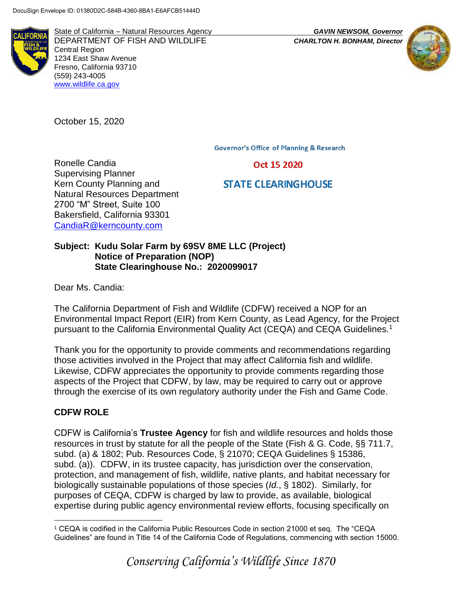

State of California – Natural Resources Agency *GAVIN NEWSOM, Governor* DEPARTMENT OF FISH AND WILDLIFE *CHARLTON H. BONHAM, Director*  Central Region 1234 East Shaw Avenue Fresno, California 93710 (559) 243-4005 [www.wildlife.ca.gov](http://www.wildlife.ca.gov/)

October 15, 2020

Ronelle Candia Supervising Planner

Kern County Planning and Natural Resources Department 2700 "M" Street, Suite 100 Bakersfield, California 93301 [CandiaR@kerncounty.com](mailto:CandiaR@kerncounty.com)

**Governor's Office of Planning & Research** 

Oct 15 2020

# **STATE CLEARINGHOUSE**

**Subject: Kudu Solar Farm by 69SV 8ME LLC (Project) Notice of Preparation (NOP) State Clearinghouse No.: 2020099017**

Dear Ms. Candia:

The California Department of Fish and Wildlife (CDFW) received a NOP for an Environmental Impact Report (EIR) from Kern County, as Lead Agency, for the Project pursuant to the California Environmental Quality Act (CEQA) and CEQA Guidelines.<sup>1</sup>

Thank you for the opportunity to provide comments and recommendations regarding those activities involved in the Project that may affect California fish and wildlife. Likewise, CDFW appreciates the opportunity to provide comments regarding those aspects of the Project that CDFW, by law, may be required to carry out or approve through the exercise of its own regulatory authority under the Fish and Game Code.

# **CDFW ROLE**

CDFW is California's **Trustee Agency** for fish and wildlife resources and holds those resources in trust by statute for all the people of the State (Fish & G. Code, §§ 711.7, subd. (a) & 1802; Pub. Resources Code, § 21070; CEQA Guidelines § 15386, subd. (a)). CDFW, in its trustee capacity, has jurisdiction over the conservation, protection, and management of fish, wildlife, native plants, and habitat necessary for biologically sustainable populations of those species (*Id.*, § 1802). Similarly, for purposes of CEQA, CDFW is charged by law to provide, as available, biological expertise during public agency environmental review efforts, focusing specifically on

 $\overline{a}$ <sup>1</sup> CEQA is codified in the California Public Resources Code in section 21000 et seq. The "CEQA Guidelines" are found in Title 14 of the California Code of Regulations, commencing with section 15000.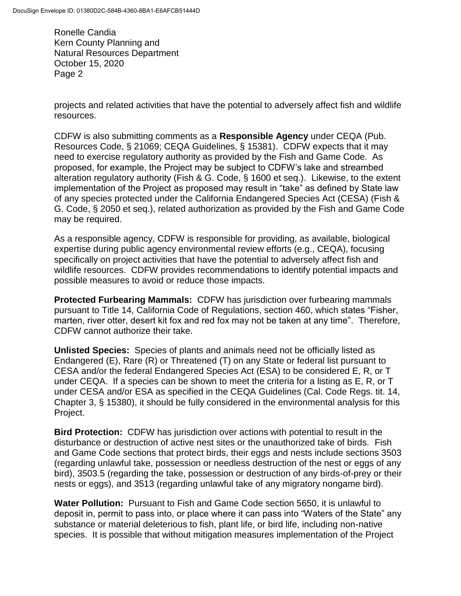projects and related activities that have the potential to adversely affect fish and wildlife resources.

CDFW is also submitting comments as a **Responsible Agency** under CEQA (Pub. Resources Code, § 21069; CEQA Guidelines, § 15381). CDFW expects that it may need to exercise regulatory authority as provided by the Fish and Game Code. As proposed, for example, the Project may be subject to CDFW's lake and streambed alteration regulatory authority (Fish & G. Code, § 1600 et seq.). Likewise, to the extent implementation of the Project as proposed may result in "take" as defined by State law of any species protected under the California Endangered Species Act (CESA) (Fish & G. Code, § 2050 et seq.), related authorization as provided by the Fish and Game Code may be required.

As a responsible agency, CDFW is responsible for providing, as available, biological expertise during public agency environmental review efforts (e.g., CEQA), focusing specifically on project activities that have the potential to adversely affect fish and wildlife resources. CDFW provides recommendations to identify potential impacts and possible measures to avoid or reduce those impacts.

**Protected Furbearing Mammals:** CDFW has jurisdiction over furbearing mammals pursuant to Title 14, California Code of Regulations, section 460, which states "Fisher, marten, river otter, desert kit fox and red fox may not be taken at any time". Therefore, CDFW cannot authorize their take.

**Unlisted Species:** Species of plants and animals need not be officially listed as Endangered (E), Rare (R) or Threatened (T) on any State or federal list pursuant to CESA and/or the federal Endangered Species Act (ESA) to be considered E, R, or T under CEQA. If a species can be shown to meet the criteria for a listing as E, R, or T under CESA and/or ESA as specified in the CEQA Guidelines (Cal. Code Regs. tit. 14, Chapter 3, § 15380), it should be fully considered in the environmental analysis for this Project.

**Bird Protection:** CDFW has jurisdiction over actions with potential to result in the disturbance or destruction of active nest sites or the unauthorized take of birds. Fish and Game Code sections that protect birds, their eggs and nests include sections 3503 (regarding unlawful take, possession or needless destruction of the nest or eggs of any bird), 3503.5 (regarding the take, possession or destruction of any birds-of-prey or their nests or eggs), and 3513 (regarding unlawful take of any migratory nongame bird).

**Water Pollution:** Pursuant to Fish and Game Code section 5650, it is unlawful to deposit in, permit to pass into, or place where it can pass into "Waters of the State" any substance or material deleterious to fish, plant life, or bird life, including non-native species. It is possible that without mitigation measures implementation of the Project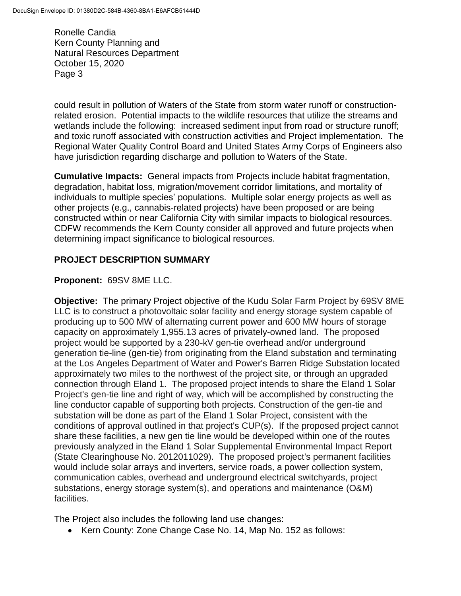could result in pollution of Waters of the State from storm water runoff or constructionrelated erosion. Potential impacts to the wildlife resources that utilize the streams and wetlands include the following: increased sediment input from road or structure runoff; and toxic runoff associated with construction activities and Project implementation. The Regional Water Quality Control Board and United States Army Corps of Engineers also have jurisdiction regarding discharge and pollution to Waters of the State.

**Cumulative Impacts:** General impacts from Projects include habitat fragmentation, degradation, habitat loss, migration/movement corridor limitations, and mortality of individuals to multiple species' populations. Multiple solar energy projects as well as other projects (e.g., cannabis-related projects) have been proposed or are being constructed within or near California City with similar impacts to biological resources. CDFW recommends the Kern County consider all approved and future projects when determining impact significance to biological resources.

# **PROJECT DESCRIPTION SUMMARY**

# **Proponent:** 69SV 8ME LLC.

**Objective:** The primary Project objective of the Kudu Solar Farm Project by 69SV 8ME LLC is to construct a photovoltaic solar facility and energy storage system capable of producing up to 500 MW of alternating current power and 600 MW hours of storage capacity on approximately 1,955.13 acres of privately-owned land. The proposed project would be supported by a 230-kV gen-tie overhead and/or underground generation tie-line (gen-tie) from originating from the Eland substation and terminating at the Los Angeles Department of Water and Power's Barren Ridge Substation located approximately two miles to the northwest of the project site, or through an upgraded connection through Eland 1. The proposed project intends to share the Eland 1 Solar Project's gen-tie line and right of way, which will be accomplished by constructing the line conductor capable of supporting both projects. Construction of the gen-tie and substation will be done as part of the Eland 1 Solar Project, consistent with the conditions of approval outlined in that project's CUP(s). If the proposed project cannot share these facilities, a new gen tie line would be developed within one of the routes previously analyzed in the Eland 1 Solar Supplemental Environmental Impact Report (State Clearinghouse No. 2012011029). The proposed project's permanent facilities would include solar arrays and inverters, service roads, a power collection system, communication cables, overhead and underground electrical switchyards, project substations, energy storage system(s), and operations and maintenance (O&M) facilities.

The Project also includes the following land use changes:

• Kern County: Zone Change Case No. 14, Map No. 152 as follows: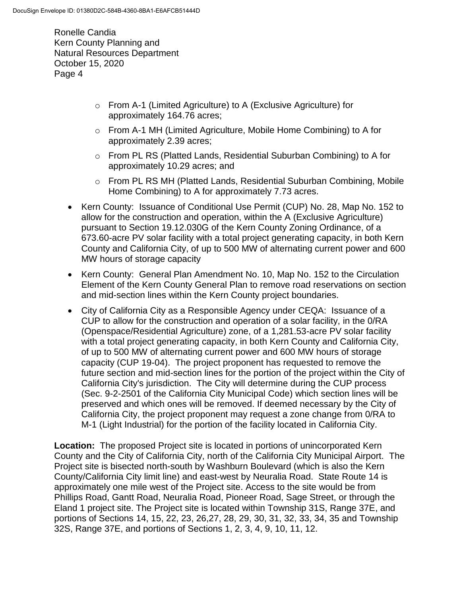- o From A-1 (Limited Agriculture) to A (Exclusive Agriculture) for approximately 164.76 acres;
- o From A-1 MH (Limited Agriculture, Mobile Home Combining) to A for approximately 2.39 acres;
- $\circ$  From PL RS (Platted Lands, Residential Suburban Combining) to A for approximately 10.29 acres; and
- o From PL RS MH (Platted Lands, Residential Suburban Combining, Mobile Home Combining) to A for approximately 7.73 acres.
- Kern County: Issuance of Conditional Use Permit (CUP) No. 28, Map No. 152 to allow for the construction and operation, within the A (Exclusive Agriculture) pursuant to Section 19.12.030G of the Kern County Zoning Ordinance, of a 673.60-acre PV solar facility with a total project generating capacity, in both Kern County and California City, of up to 500 MW of alternating current power and 600 MW hours of storage capacity
- Kern County: General Plan Amendment No. 10, Map No. 152 to the Circulation Element of the Kern County General Plan to remove road reservations on section and mid-section lines within the Kern County project boundaries.
- City of California City as a Responsible Agency under CEQA: Issuance of a CUP to allow for the construction and operation of a solar facility, in the 0/RA (Openspace/Residential Agriculture) zone, of a 1,281.53-acre PV solar facility with a total project generating capacity, in both Kern County and California City, of up to 500 MW of alternating current power and 600 MW hours of storage capacity (CUP 19-04). The project proponent has requested to remove the future section and mid-section lines for the portion of the project within the City of California City's jurisdiction. The City will determine during the CUP process (Sec. 9-2-2501 of the California City Municipal Code) which section lines will be preserved and which ones will be removed. If deemed necessary by the City of California City, the project proponent may request a zone change from 0/RA to M-1 (Light Industrial) for the portion of the facility located in California City.

**Location:** The proposed Project site is located in portions of unincorporated Kern County and the City of California City, north of the California City Municipal Airport. The Project site is bisected north-south by Washburn Boulevard (which is also the Kern County/California City limit line) and east-west by Neuralia Road. State Route 14 is approximately one mile west of the Project site. Access to the site would be from Phillips Road, Gantt Road, Neuralia Road, Pioneer Road, Sage Street, or through the Eland 1 project site. The Project site is located within Township 31S, Range 37E, and portions of Sections 14, 15, 22, 23, 26,27, 28, 29, 30, 31, 32, 33, 34, 35 and Township 32S, Range 37E, and portions of Sections 1, 2, 3, 4, 9, 10, 11, 12.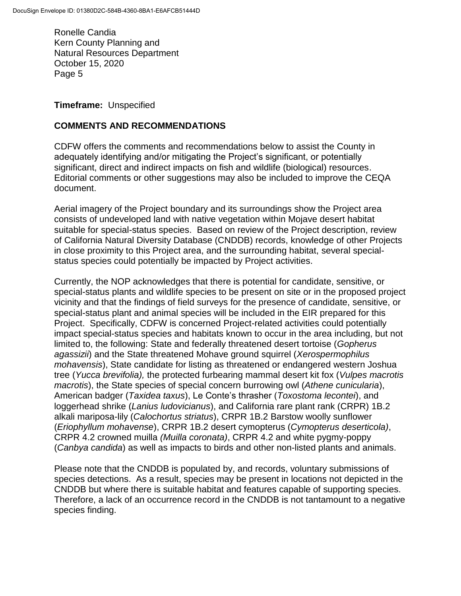**Timeframe:** Unspecified

#### **COMMENTS AND RECOMMENDATIONS**

CDFW offers the comments and recommendations below to assist the County in adequately identifying and/or mitigating the Project's significant, or potentially significant, direct and indirect impacts on fish and wildlife (biological) resources. Editorial comments or other suggestions may also be included to improve the CEQA document.

Aerial imagery of the Project boundary and its surroundings show the Project area consists of undeveloped land with native vegetation within Mojave desert habitat suitable for special-status species. Based on review of the Project description, review of California Natural Diversity Database (CNDDB) records, knowledge of other Projects in close proximity to this Project area, and the surrounding habitat, several specialstatus species could potentially be impacted by Project activities.

Currently, the NOP acknowledges that there is potential for candidate, sensitive, or special-status plants and wildlife species to be present on site or in the proposed project vicinity and that the findings of field surveys for the presence of candidate, sensitive, or special-status plant and animal species will be included in the EIR prepared for this Project. Specifically, CDFW is concerned Project-related activities could potentially impact special-status species and habitats known to occur in the area including, but not limited to, the following: State and federally threatened desert tortoise (*Gopherus agassizii*) and the State threatened Mohave ground squirrel (*Xerospermophilus mohavensis*), State candidate for listing as threatened or endangered western Joshua tree (*Yucca brevifolia),* the protected furbearing mammal desert kit fox (*Vulpes macrotis macrotis*), the State species of special concern burrowing owl (*Athene cunicularia*), American badger (*Taxidea taxus*), Le Conte's thrasher (*Toxostoma lecontei*), and loggerhead shrike (*Lanius ludovicianus*), and California rare plant rank (CRPR) 1B.2 alkali mariposa-lily (*Calochortus striatus*), CRPR 1B.2 Barstow woolly sunflower (*Eriophyllum mohavense*), CRPR 1B.2 desert cymopterus (*Cymopterus deserticola)*, CRPR 4.2 crowned muilla *(Muilla coronata)*, CRPR 4.2 and white pygmy-poppy (*Canbya candida*) as well as impacts to birds and other non-listed plants and animals.

Please note that the CNDDB is populated by, and records, voluntary submissions of species detections. As a result, species may be present in locations not depicted in the CNDDB but where there is suitable habitat and features capable of supporting species. Therefore, a lack of an occurrence record in the CNDDB is not tantamount to a negative species finding.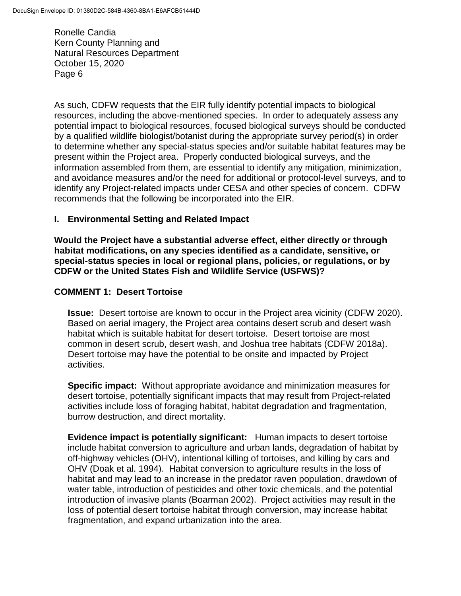As such, CDFW requests that the EIR fully identify potential impacts to biological resources, including the above-mentioned species. In order to adequately assess any potential impact to biological resources, focused biological surveys should be conducted by a qualified wildlife biologist/botanist during the appropriate survey period(s) in order to determine whether any special-status species and/or suitable habitat features may be present within the Project area. Properly conducted biological surveys, and the information assembled from them, are essential to identify any mitigation, minimization, and avoidance measures and/or the need for additional or protocol-level surveys, and to identify any Project-related impacts under CESA and other species of concern. CDFW recommends that the following be incorporated into the EIR.

### **I. Environmental Setting and Related Impact**

**Would the Project have a substantial adverse effect, either directly or through habitat modifications, on any species identified as a candidate, sensitive, or special-status species in local or regional plans, policies, or regulations, or by CDFW or the United States Fish and Wildlife Service (USFWS)?** 

### **COMMENT 1: Desert Tortoise**

**Issue:** Desert tortoise are known to occur in the Project area vicinity (CDFW 2020). Based on aerial imagery, the Project area contains desert scrub and desert wash habitat which is suitable habitat for desert tortoise. Desert tortoise are most common in desert scrub, desert wash, and Joshua tree habitats (CDFW 2018a). Desert tortoise may have the potential to be onsite and impacted by Project activities.

**Specific impact:** Without appropriate avoidance and minimization measures for desert tortoise, potentially significant impacts that may result from Project-related activities include loss of foraging habitat, habitat degradation and fragmentation, burrow destruction, and direct mortality.

**Evidence impact is potentially significant:** Human impacts to desert tortoise include habitat conversion to agriculture and urban lands, degradation of habitat by off-highway vehicles (OHV), intentional killing of tortoises, and killing by cars and OHV (Doak et al. 1994). Habitat conversion to agriculture results in the loss of habitat and may lead to an increase in the predator raven population, drawdown of water table, introduction of pesticides and other toxic chemicals, and the potential introduction of invasive plants (Boarman 2002). Project activities may result in the loss of potential desert tortoise habitat through conversion, may increase habitat fragmentation, and expand urbanization into the area.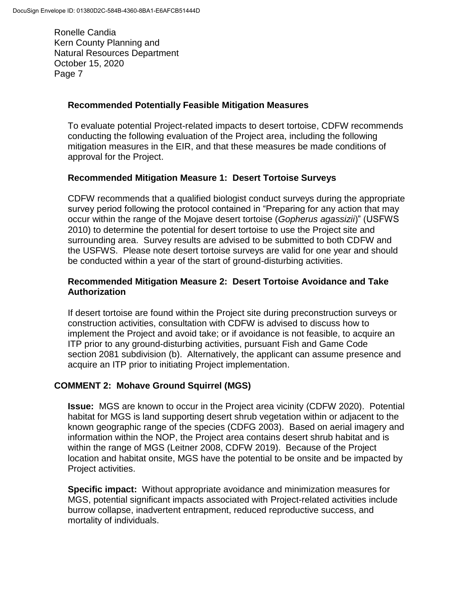### **Recommended Potentially Feasible Mitigation Measures**

To evaluate potential Project-related impacts to desert tortoise, CDFW recommends conducting the following evaluation of the Project area, including the following mitigation measures in the EIR, and that these measures be made conditions of approval for the Project.

#### **Recommended Mitigation Measure 1: Desert Tortoise Surveys**

CDFW recommends that a qualified biologist conduct surveys during the appropriate survey period following the protocol contained in "Preparing for any action that may occur within the range of the Mojave desert tortoise (*Gopherus agassizii*)" (USFWS 2010) to determine the potential for desert tortoise to use the Project site and surrounding area. Survey results are advised to be submitted to both CDFW and the USFWS. Please note desert tortoise surveys are valid for one year and should be conducted within a year of the start of ground-disturbing activities.

### **Recommended Mitigation Measure 2: Desert Tortoise Avoidance and Take Authorization**

If desert tortoise are found within the Project site during preconstruction surveys or construction activities, consultation with CDFW is advised to discuss how to implement the Project and avoid take; or if avoidance is not feasible, to acquire an ITP prior to any ground-disturbing activities, pursuant Fish and Game Code section 2081 subdivision (b). Alternatively, the applicant can assume presence and acquire an ITP prior to initiating Project implementation.

# **COMMENT 2: Mohave Ground Squirrel (MGS)**

**Issue:** MGS are known to occur in the Project area vicinity (CDFW 2020). Potential habitat for MGS is land supporting desert shrub vegetation within or adjacent to the known geographic range of the species (CDFG 2003). Based on aerial imagery and information within the NOP, the Project area contains desert shrub habitat and is within the range of MGS (Leitner 2008, CDFW 2019). Because of the Project location and habitat onsite, MGS have the potential to be onsite and be impacted by Project activities.

**Specific impact:** Without appropriate avoidance and minimization measures for MGS, potential significant impacts associated with Project-related activities include burrow collapse, inadvertent entrapment, reduced reproductive success, and mortality of individuals.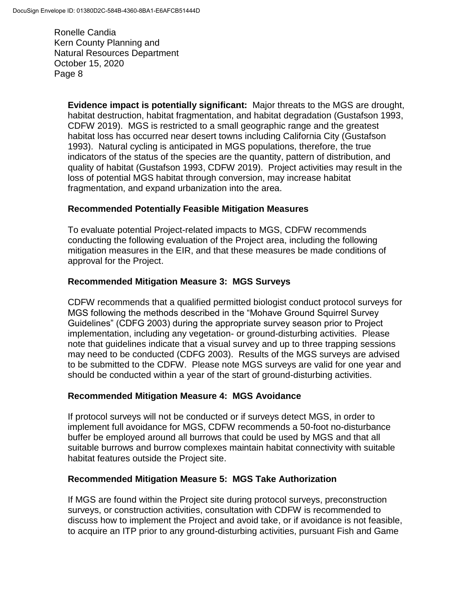> **Evidence impact is potentially significant:** Major threats to the MGS are drought, habitat destruction, habitat fragmentation, and habitat degradation (Gustafson 1993, CDFW 2019). MGS is restricted to a small geographic range and the greatest habitat loss has occurred near desert towns including California City (Gustafson 1993). Natural cycling is anticipated in MGS populations, therefore, the true indicators of the status of the species are the quantity, pattern of distribution, and quality of habitat (Gustafson 1993, CDFW 2019). Project activities may result in the loss of potential MGS habitat through conversion, may increase habitat fragmentation, and expand urbanization into the area.

### **Recommended Potentially Feasible Mitigation Measures**

To evaluate potential Project-related impacts to MGS, CDFW recommends conducting the following evaluation of the Project area, including the following mitigation measures in the EIR, and that these measures be made conditions of approval for the Project.

### **Recommended Mitigation Measure 3: MGS Surveys**

CDFW recommends that a qualified permitted biologist conduct protocol surveys for MGS following the methods described in the "Mohave Ground Squirrel Survey Guidelines" (CDFG 2003) during the appropriate survey season prior to Project implementation, including any vegetation- or ground-disturbing activities. Please note that guidelines indicate that a visual survey and up to three trapping sessions may need to be conducted (CDFG 2003). Results of the MGS surveys are advised to be submitted to the CDFW. Please note MGS surveys are valid for one year and should be conducted within a year of the start of ground-disturbing activities.

#### **Recommended Mitigation Measure 4: MGS Avoidance**

If protocol surveys will not be conducted or if surveys detect MGS, in order to implement full avoidance for MGS, CDFW recommends a 50-foot no-disturbance buffer be employed around all burrows that could be used by MGS and that all suitable burrows and burrow complexes maintain habitat connectivity with suitable habitat features outside the Project site.

#### **Recommended Mitigation Measure 5: MGS Take Authorization**

If MGS are found within the Project site during protocol surveys, preconstruction surveys, or construction activities, consultation with CDFW is recommended to discuss how to implement the Project and avoid take, or if avoidance is not feasible, to acquire an ITP prior to any ground-disturbing activities, pursuant Fish and Game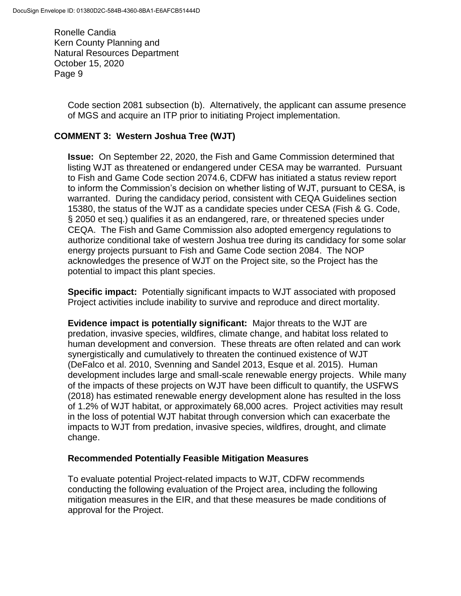> Code section 2081 subsection (b). Alternatively, the applicant can assume presence of MGS and acquire an ITP prior to initiating Project implementation.

### **COMMENT 3: Western Joshua Tree (WJT)**

**Issue:** On September 22, 2020, the Fish and Game Commission determined that listing WJT as threatened or endangered under CESA may be warranted. Pursuant to Fish and Game Code section 2074.6, CDFW has initiated a status review report to inform the Commission's decision on whether listing of WJT, pursuant to CESA, is warranted. During the candidacy period, consistent with CEQA Guidelines section 15380, the status of the WJT as a candidate species under CESA (Fish & G. Code, § 2050 et seq.) qualifies it as an endangered, rare, or threatened species under CEQA. The Fish and Game Commission also adopted emergency regulations to authorize conditional take of western Joshua tree during its candidacy for some solar energy projects pursuant to Fish and Game Code section 2084. The NOP acknowledges the presence of WJT on the Project site, so the Project has the potential to impact this plant species.

**Specific impact:** Potentially significant impacts to WJT associated with proposed Project activities include inability to survive and reproduce and direct mortality.

**Evidence impact is potentially significant:** Major threats to the WJT are predation, invasive species, wildfires, climate change, and habitat loss related to human development and conversion. These threats are often related and can work synergistically and cumulatively to threaten the continued existence of WJT (DeFalco et al. 2010, Svenning and Sandel 2013, Esque et al. 2015). Human development includes large and small-scale renewable energy projects. While many of the impacts of these projects on WJT have been difficult to quantify, the USFWS (2018) has estimated renewable energy development alone has resulted in the loss of 1.2% of WJT habitat, or approximately 68,000 acres. Project activities may result in the loss of potential WJT habitat through conversion which can exacerbate the impacts to WJT from predation, invasive species, wildfires, drought, and climate change.

#### **Recommended Potentially Feasible Mitigation Measures**

To evaluate potential Project-related impacts to WJT, CDFW recommends conducting the following evaluation of the Project area, including the following mitigation measures in the EIR, and that these measures be made conditions of approval for the Project.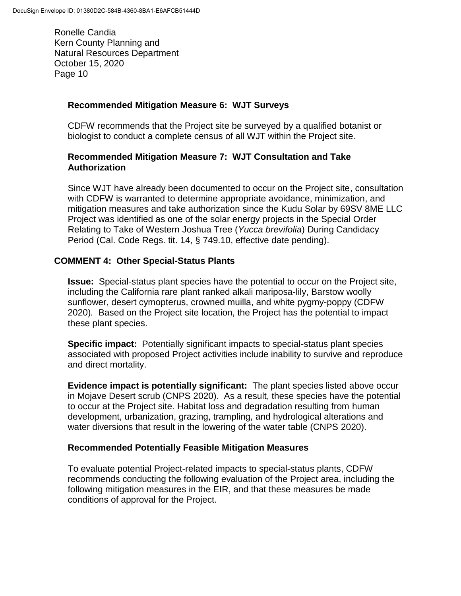### **Recommended Mitigation Measure 6: WJT Surveys**

CDFW recommends that the Project site be surveyed by a qualified botanist or biologist to conduct a complete census of all WJT within the Project site.

### **Recommended Mitigation Measure 7: WJT Consultation and Take Authorization**

Since WJT have already been documented to occur on the Project site, consultation with CDFW is warranted to determine appropriate avoidance, minimization, and mitigation measures and take authorization since the Kudu Solar by 69SV 8ME LLC Project was identified as one of the solar energy projects in the Special Order Relating to Take of Western Joshua Tree (*Yucca brevifolia*) During Candidacy Period (Cal. Code Regs. tit. 14, § 749.10, effective date pending).

### **COMMENT 4: Other Special-Status Plants**

**Issue:** Special-status plant species have the potential to occur on the Project site, including the California rare plant ranked alkali mariposa-lily, Barstow woolly sunflower, desert cymopterus, crowned muilla, and white pygmy-poppy (CDFW 2020)*.* Based on the Project site location, the Project has the potential to impact these plant species.

**Specific impact:** Potentially significant impacts to special-status plant species associated with proposed Project activities include inability to survive and reproduce and direct mortality.

**Evidence impact is potentially significant:** The plant species listed above occur in Mojave Desert scrub (CNPS 2020). As a result, these species have the potential to occur at the Project site. Habitat loss and degradation resulting from human development, urbanization, grazing, trampling, and hydrological alterations and water diversions that result in the lowering of the water table (CNPS 2020).

#### **Recommended Potentially Feasible Mitigation Measures**

To evaluate potential Project-related impacts to special-status plants, CDFW recommends conducting the following evaluation of the Project area, including the following mitigation measures in the EIR, and that these measures be made conditions of approval for the Project.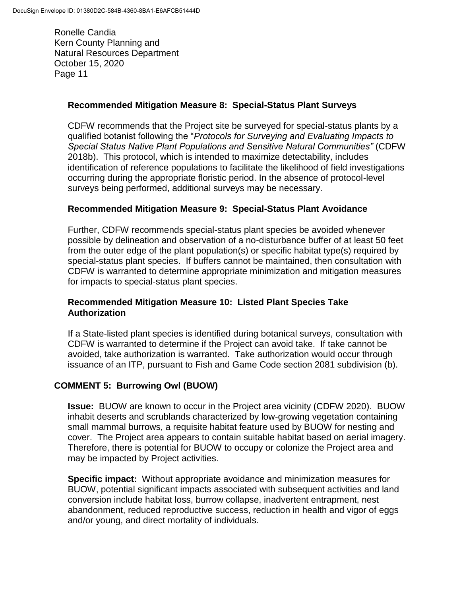### **Recommended Mitigation Measure 8: Special-Status Plant Surveys**

CDFW recommends that the Project site be surveyed for special-status plants by a qualified botanist following the "*Protocols for Surveying and Evaluating Impacts to Special Status Native Plant Populations and Sensitive Natural Communities"* (CDFW 2018b). This protocol, which is intended to maximize detectability, includes identification of reference populations to facilitate the likelihood of field investigations occurring during the appropriate floristic period. In the absence of protocol-level surveys being performed, additional surveys may be necessary.

### **Recommended Mitigation Measure 9: Special-Status Plant Avoidance**

Further, CDFW recommends special-status plant species be avoided whenever possible by delineation and observation of a no-disturbance buffer of at least 50 feet from the outer edge of the plant population(s) or specific habitat type(s) required by special-status plant species. If buffers cannot be maintained, then consultation with CDFW is warranted to determine appropriate minimization and mitigation measures for impacts to special-status plant species.

### **Recommended Mitigation Measure 10: Listed Plant Species Take Authorization**

If a State-listed plant species is identified during botanical surveys, consultation with CDFW is warranted to determine if the Project can avoid take. If take cannot be avoided, take authorization is warranted. Take authorization would occur through issuance of an ITP, pursuant to Fish and Game Code section 2081 subdivision (b).

# **COMMENT 5: Burrowing Owl (BUOW)**

**Issue:** BUOW are known to occur in the Project area vicinity (CDFW 2020). BUOW inhabit deserts and scrublands characterized by low-growing vegetation containing small mammal burrows, a requisite habitat feature used by BUOW for nesting and cover. The Project area appears to contain suitable habitat based on aerial imagery. Therefore, there is potential for BUOW to occupy or colonize the Project area and may be impacted by Project activities.

**Specific impact:** Without appropriate avoidance and minimization measures for BUOW, potential significant impacts associated with subsequent activities and land conversion include habitat loss, burrow collapse, inadvertent entrapment, nest abandonment, reduced reproductive success, reduction in health and vigor of eggs and/or young, and direct mortality of individuals.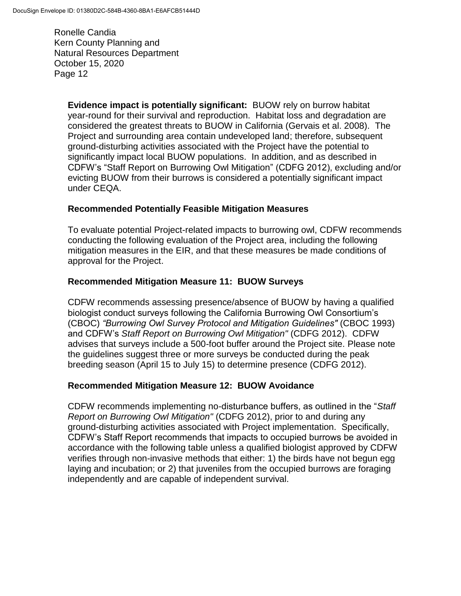> **Evidence impact is potentially significant:** BUOW rely on burrow habitat year-round for their survival and reproduction. Habitat loss and degradation are considered the greatest threats to BUOW in California (Gervais et al. 2008). The Project and surrounding area contain undeveloped land; therefore, subsequent ground-disturbing activities associated with the Project have the potential to significantly impact local BUOW populations. In addition, and as described in CDFW's "Staff Report on Burrowing Owl Mitigation" (CDFG 2012), excluding and/or evicting BUOW from their burrows is considered a potentially significant impact under CEQA.

### **Recommended Potentially Feasible Mitigation Measures**

To evaluate potential Project-related impacts to burrowing owl, CDFW recommends conducting the following evaluation of the Project area, including the following mitigation measures in the EIR, and that these measures be made conditions of approval for the Project.

### **Recommended Mitigation Measure 11: BUOW Surveys**

CDFW recommends assessing presence/absence of BUOW by having a qualified biologist conduct surveys following the California Burrowing Owl Consortium's (CBOC) *"Burrowing Owl Survey Protocol and Mitigation Guidelines"* (CBOC 1993) and CDFW's *Staff Report on Burrowing Owl Mitigation"* (CDFG 2012). CDFW advises that surveys include a 500-foot buffer around the Project site. Please note the guidelines suggest three or more surveys be conducted during the peak breeding season (April 15 to July 15) to determine presence (CDFG 2012).

#### **Recommended Mitigation Measure 12: BUOW Avoidance**

CDFW recommends implementing no-disturbance buffers, as outlined in the "*Staff Report on Burrowing Owl Mitigation"* (CDFG 2012), prior to and during any ground-disturbing activities associated with Project implementation. Specifically, CDFW's Staff Report recommends that impacts to occupied burrows be avoided in accordance with the following table unless a qualified biologist approved by CDFW verifies through non-invasive methods that either: 1) the birds have not begun egg laying and incubation; or 2) that juveniles from the occupied burrows are foraging independently and are capable of independent survival.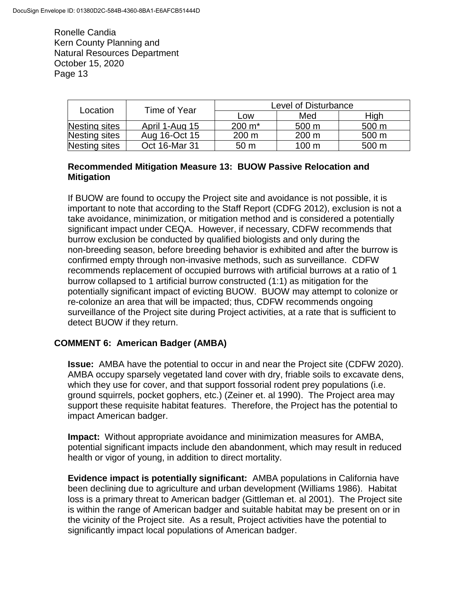| Location      | Time of Year   | Level of Disturbance |                  |                  |
|---------------|----------------|----------------------|------------------|------------------|
|               |                | Low                  | Med              | High             |
| Nesting sites | April 1-Aug 15 | $200 \; \text{m}^*$  | 500 m            | 500 m            |
| Nesting sites | Aug 16-Oct 15  | 200 m                | 200 m            | 500 <sub>m</sub> |
| Nesting sites | Oct 16-Mar 31  | 50 <sub>m</sub>      | 100 <sub>m</sub> | 500 m            |

#### **Recommended Mitigation Measure 13: BUOW Passive Relocation and Mitigation**

If BUOW are found to occupy the Project site and avoidance is not possible, it is important to note that according to the Staff Report (CDFG 2012), exclusion is not a take avoidance, minimization, or mitigation method and is considered a potentially significant impact under CEQA. However, if necessary, CDFW recommends that burrow exclusion be conducted by qualified biologists and only during the non-breeding season, before breeding behavior is exhibited and after the burrow is confirmed empty through non-invasive methods, such as surveillance. CDFW recommends replacement of occupied burrows with artificial burrows at a ratio of 1 burrow collapsed to 1 artificial burrow constructed (1:1) as mitigation for the potentially significant impact of evicting BUOW. BUOW may attempt to colonize or re-colonize an area that will be impacted; thus, CDFW recommends ongoing surveillance of the Project site during Project activities, at a rate that is sufficient to detect BUOW if they return.

# **COMMENT 6: American Badger (AMBA)**

**Issue:** AMBA have the potential to occur in and near the Project site (CDFW 2020). AMBA occupy sparsely vegetated land cover with dry, friable soils to excavate dens, which they use for cover, and that support fossorial rodent prey populations (i.e. ground squirrels, pocket gophers, etc.) (Zeiner et. al 1990). The Project area may support these requisite habitat features. Therefore, the Project has the potential to impact American badger.

**Impact:** Without appropriate avoidance and minimization measures for AMBA, potential significant impacts include den abandonment, which may result in reduced health or vigor of young, in addition to direct mortality.

**Evidence impact is potentially significant:** AMBA populations in California have been declining due to agriculture and urban development (Williams 1986). Habitat loss is a primary threat to American badger (Gittleman et. al 2001). The Project site is within the range of American badger and suitable habitat may be present on or in the vicinity of the Project site. As a result, Project activities have the potential to significantly impact local populations of American badger.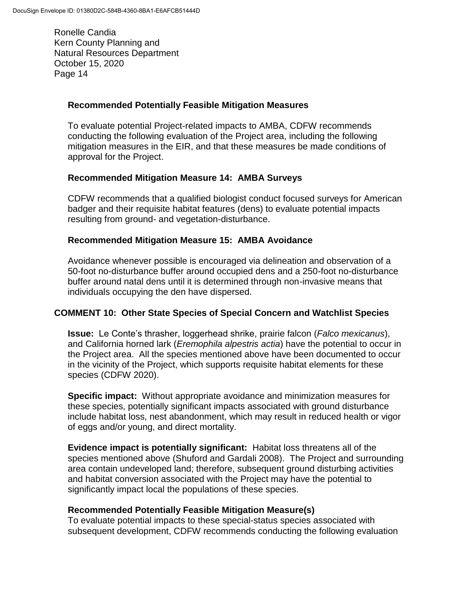### **Recommended Potentially Feasible Mitigation Measures**

To evaluate potential Project-related impacts to AMBA, CDFW recommends conducting the following evaluation of the Project area, including the following mitigation measures in the EIR, and that these measures be made conditions of approval for the Project.

#### **Recommended Mitigation Measure 14: AMBA Surveys**

CDFW recommends that a qualified biologist conduct focused surveys for American badger and their requisite habitat features (dens) to evaluate potential impacts resulting from ground- and vegetation-disturbance.

#### **Recommended Mitigation Measure 15: AMBA Avoidance**

Avoidance whenever possible is encouraged via delineation and observation of a 50-foot no-disturbance buffer around occupied dens and a 250-foot no-disturbance buffer around natal dens until it is determined through non-invasive means that individuals occupying the den have dispersed.

#### **COMMENT 10: Other State Species of Special Concern and Watchlist Species**

**Issue:** Le Conte's thrasher, loggerhead shrike, prairie falcon (*Falco mexicanus*), and California horned lark (*Eremophila alpestris actia*) have the potential to occur in the Project area. All the species mentioned above have been documented to occur in the vicinity of the Project, which supports requisite habitat elements for these species (CDFW 2020).

**Specific impact:** Without appropriate avoidance and minimization measures for these species, potentially significant impacts associated with ground disturbance include habitat loss, nest abandonment, which may result in reduced health or vigor of eggs and/or young, and direct mortality.

**Evidence impact is potentially significant:** Habitat loss threatens all of the species mentioned above (Shuford and Gardali 2008). The Project and surrounding area contain undeveloped land; therefore, subsequent ground disturbing activities and habitat conversion associated with the Project may have the potential to significantly impact local the populations of these species.

#### **Recommended Potentially Feasible Mitigation Measure(s)**

To evaluate potential impacts to these special-status species associated with subsequent development, CDFW recommends conducting the following evaluation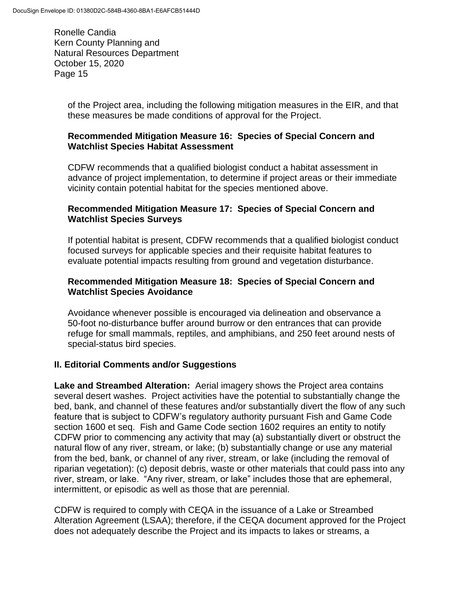> of the Project area, including the following mitigation measures in the EIR, and that these measures be made conditions of approval for the Project.

#### **Recommended Mitigation Measure 16: Species of Special Concern and Watchlist Species Habitat Assessment**

CDFW recommends that a qualified biologist conduct a habitat assessment in advance of project implementation, to determine if project areas or their immediate vicinity contain potential habitat for the species mentioned above.

### **Recommended Mitigation Measure 17: Species of Special Concern and Watchlist Species Surveys**

If potential habitat is present, CDFW recommends that a qualified biologist conduct focused surveys for applicable species and their requisite habitat features to evaluate potential impacts resulting from ground and vegetation disturbance.

### **Recommended Mitigation Measure 18: Species of Special Concern and Watchlist Species Avoidance**

Avoidance whenever possible is encouraged via delineation and observance a 50-foot no-disturbance buffer around burrow or den entrances that can provide refuge for small mammals, reptiles, and amphibians, and 250 feet around nests of special-status bird species.

# **II. Editorial Comments and/or Suggestions**

**Lake and Streambed Alteration:** Aerial imagery shows the Project area contains several desert washes. Project activities have the potential to substantially change the bed, bank, and channel of these features and/or substantially divert the flow of any such feature that is subject to CDFW's regulatory authority pursuant Fish and Game Code section 1600 et seq. Fish and Game Code section 1602 requires an entity to notify CDFW prior to commencing any activity that may (a) substantially divert or obstruct the natural flow of any river, stream, or lake; (b) substantially change or use any material from the bed, bank, or channel of any river, stream, or lake (including the removal of riparian vegetation): (c) deposit debris, waste or other materials that could pass into any river, stream, or lake. "Any river, stream, or lake" includes those that are ephemeral, intermittent, or episodic as well as those that are perennial.

CDFW is required to comply with CEQA in the issuance of a Lake or Streambed Alteration Agreement (LSAA); therefore, if the CEQA document approved for the Project does not adequately describe the Project and its impacts to lakes or streams, a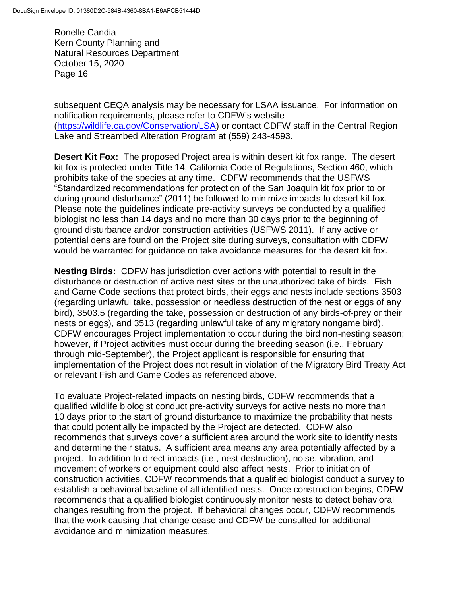subsequent CEQA analysis may be necessary for LSAA issuance. For information on notification requirements, please refer to CDFW's website [\(https://wildlife.ca.gov/Conservation/LSA\)](https://wildlife.ca.gov/Conservation/LSA) or contact CDFW staff in the Central Region Lake and Streambed Alteration Program at (559) 243-4593.

**Desert Kit Fox:** The proposed Project area is within desert kit fox range. The desert kit fox is protected under Title 14, California Code of Regulations, Section 460, which prohibits take of the species at any time. CDFW recommends that the USFWS "Standardized recommendations for protection of the San Joaquin kit fox prior to or during ground disturbance" (2011) be followed to minimize impacts to desert kit fox. Please note the guidelines indicate pre-activity surveys be conducted by a qualified biologist no less than 14 days and no more than 30 days prior to the beginning of ground disturbance and/or construction activities (USFWS 2011). If any active or potential dens are found on the Project site during surveys, consultation with CDFW would be warranted for guidance on take avoidance measures for the desert kit fox.

**Nesting Birds:** CDFW has jurisdiction over actions with potential to result in the disturbance or destruction of active nest sites or the unauthorized take of birds. Fish and Game Code sections that protect birds, their eggs and nests include sections 3503 (regarding unlawful take, possession or needless destruction of the nest or eggs of any bird), 3503.5 (regarding the take, possession or destruction of any birds-of-prey or their nests or eggs), and 3513 (regarding unlawful take of any migratory nongame bird). CDFW encourages Project implementation to occur during the bird non-nesting season; however, if Project activities must occur during the breeding season (i.e., February through mid-September), the Project applicant is responsible for ensuring that implementation of the Project does not result in violation of the Migratory Bird Treaty Act or relevant Fish and Game Codes as referenced above.

To evaluate Project-related impacts on nesting birds, CDFW recommends that a qualified wildlife biologist conduct pre-activity surveys for active nests no more than 10 days prior to the start of ground disturbance to maximize the probability that nests that could potentially be impacted by the Project are detected. CDFW also recommends that surveys cover a sufficient area around the work site to identify nests and determine their status. A sufficient area means any area potentially affected by a project. In addition to direct impacts (i.e., nest destruction), noise, vibration, and movement of workers or equipment could also affect nests. Prior to initiation of construction activities, CDFW recommends that a qualified biologist conduct a survey to establish a behavioral baseline of all identified nests. Once construction begins, CDFW recommends that a qualified biologist continuously monitor nests to detect behavioral changes resulting from the project. If behavioral changes occur, CDFW recommends that the work causing that change cease and CDFW be consulted for additional avoidance and minimization measures.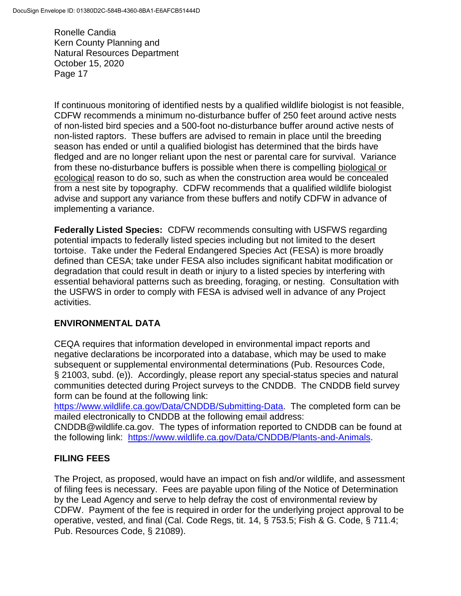If continuous monitoring of identified nests by a qualified wildlife biologist is not feasible, CDFW recommends a minimum no-disturbance buffer of 250 feet around active nests of non-listed bird species and a 500-foot no-disturbance buffer around active nests of non-listed raptors. These buffers are advised to remain in place until the breeding season has ended or until a qualified biologist has determined that the birds have fledged and are no longer reliant upon the nest or parental care for survival. Variance from these no-disturbance buffers is possible when there is compelling biological or ecological reason to do so, such as when the construction area would be concealed from a nest site by topography. CDFW recommends that a qualified wildlife biologist advise and support any variance from these buffers and notify CDFW in advance of implementing a variance.

**Federally Listed Species:** CDFW recommends consulting with USFWS regarding potential impacts to federally listed species including but not limited to the desert tortoise. Take under the Federal Endangered Species Act (FESA) is more broadly defined than CESA; take under FESA also includes significant habitat modification or degradation that could result in death or injury to a listed species by interfering with essential behavioral patterns such as breeding, foraging, or nesting. Consultation with the USFWS in order to comply with FESA is advised well in advance of any Project activities.

# **ENVIRONMENTAL DATA**

CEQA requires that information developed in environmental impact reports and negative declarations be incorporated into a database, which may be used to make subsequent or supplemental environmental determinations (Pub. Resources Code, § 21003, subd. (e)). Accordingly, please report any special-status species and natural communities detected during Project surveys to the CNDDB. The CNDDB field survey form can be found at the following link:

[https://www.wildlife.ca.gov/Data/CNDDB/Submitting-Data.](https://www.wildlife.ca.gov/Data/CNDDB/Submitting-Data) The completed form can be mailed electronically to CNDDB at the following email address:

CNDDB@wildlife.ca.gov. The types of information reported to CNDDB can be found at the following link: [https://www.wildlife.ca.gov/Data/CNDDB/Plants-and-Animals.](https://www.wildlife.ca.gov/Data/CNDDB/Plants-and-Animals)

# **FILING FEES**

The Project, as proposed, would have an impact on fish and/or wildlife, and assessment of filing fees is necessary. Fees are payable upon filing of the Notice of Determination by the Lead Agency and serve to help defray the cost of environmental review by CDFW. Payment of the fee is required in order for the underlying project approval to be operative, vested, and final (Cal. Code Regs, tit. 14, § 753.5; Fish & G. Code, § 711.4; Pub. Resources Code, § 21089).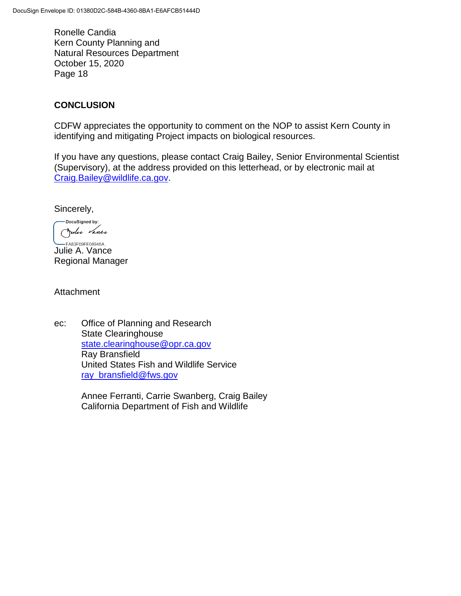# **CONCLUSION**

CDFW appreciates the opportunity to comment on the NOP to assist Kern County in identifying and mitigating Project impacts on biological resources.

If you have any questions, please contact Craig Bailey, Senior Environmental Scientist (Supervisory), at the address provided on this letterhead, or by electronic mail at [Craig.Bailey@wildlife.ca.gov.](mailto:Craig.Bailey@wildlife.ca.gov)

Sincerely,

-DocuSianed by: Julie Vance

**LEA83F09FE08945A...**<br>Julie A. Vance Regional Manager

**Attachment** 

ec: Office of Planning and Research State Clearinghouse [state.clearinghouse@opr.ca.gov](mailto:state.clearinghouse@opr.ca.gov) Ray Bransfield United States Fish and Wildlife Service [ray\\_bransfield@fws.gov](mailto:ray_bransfield@fws.gov)

> Annee Ferranti, Carrie Swanberg, Craig Bailey California Department of Fish and Wildlife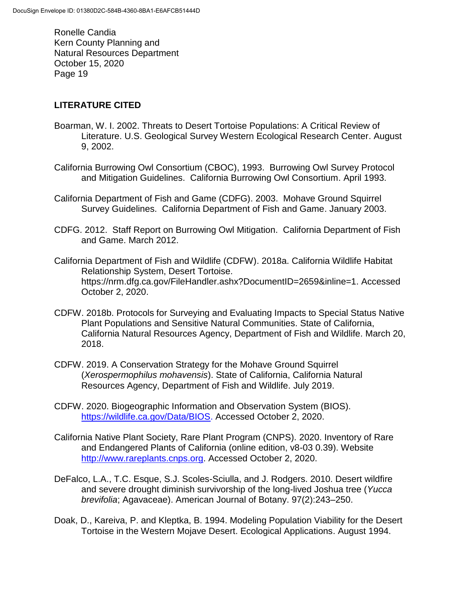# **LITERATURE CITED**

- Boarman, W. I. 2002. Threats to Desert Tortoise Populations: A Critical Review of Literature. U.S. Geological Survey Western Ecological Research Center. August 9, 2002.
- California Burrowing Owl Consortium (CBOC), 1993. Burrowing Owl Survey Protocol and Mitigation Guidelines. California Burrowing Owl Consortium. April 1993.
- California Department of Fish and Game (CDFG). 2003. Mohave Ground Squirrel Survey Guidelines. California Department of Fish and Game. January 2003.
- CDFG. 2012. Staff Report on Burrowing Owl Mitigation. California Department of Fish and Game. March 2012.
- California Department of Fish and Wildlife (CDFW). 2018a. California Wildlife Habitat Relationship System, Desert Tortoise. https://nrm.dfg.ca.gov/FileHandler.ashx?DocumentID=2659&inline=1. Accessed October 2, 2020.
- CDFW. 2018b. Protocols for Surveying and Evaluating Impacts to Special Status Native Plant Populations and Sensitive Natural Communities. State of California, California Natural Resources Agency, Department of Fish and Wildlife. March 20, 2018.
- CDFW. 2019. A Conservation Strategy for the Mohave Ground Squirrel (*Xerospermophilus mohavensis*). State of California, California Natural Resources Agency, Department of Fish and Wildlife. July 2019.
- CDFW. 2020. Biogeographic Information and Observation System (BIOS). [https://wildlife.ca.gov/Data/BIOS.](https://wildlife.ca.gov/Data/BIOS) Accessed October 2, 2020.
- California Native Plant Society, Rare Plant Program (CNPS). 2020. Inventory of Rare and Endangered Plants of California (online edition, v8-03 0.39). Website [http://www.rareplants.cnps.org.](http://www.rareplants.cnps.org/) Accessed October 2, 2020.
- DeFalco, L.A., T.C. Esque, S.J. Scoles-Sciulla, and J. Rodgers. 2010. Desert wildfire and severe drought diminish survivorship of the long-lived Joshua tree (*Yucca brevifolia*; Agavaceae). American Journal of Botany. 97(2):243–250.
- Doak, D., Kareiva, P. and Kleptka, B. 1994. Modeling Population Viability for the Desert Tortoise in the Western Mojave Desert. Ecological Applications. August 1994.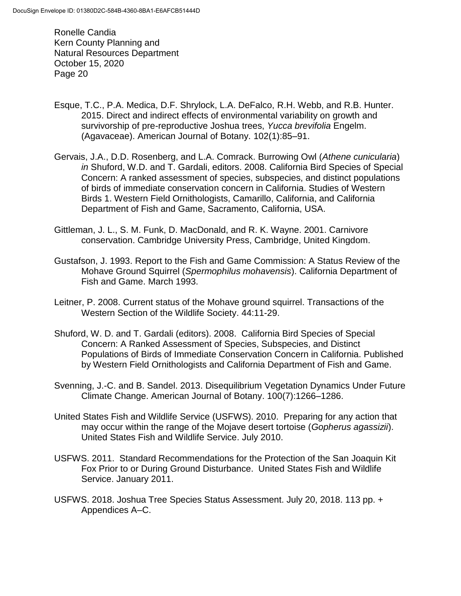- Esque, T.C., P.A. Medica, D.F. Shrylock, L.A. DeFalco, R.H. Webb, and R.B. Hunter. 2015. Direct and indirect effects of environmental variability on growth and survivorship of pre-reproductive Joshua trees, *Yucca brevifolia* Engelm. (Agavaceae). American Journal of Botany. 102(1):85–91.
- Gervais, J.A., D.D. Rosenberg, and L.A. Comrack. Burrowing Owl (*Athene cunicularia*) *in* Shuford, W.D. and T. Gardali, editors. 2008. California Bird Species of Special Concern: A ranked assessment of species, subspecies, and distinct populations of birds of immediate conservation concern in California. Studies of Western Birds 1. Western Field Ornithologists, Camarillo, California, and California Department of Fish and Game, Sacramento, California, USA.
- Gittleman, J. L., S. M. Funk, D. MacDonald, and R. K. Wayne. 2001. Carnivore conservation. Cambridge University Press, Cambridge, United Kingdom.
- Gustafson, J. 1993. Report to the Fish and Game Commission: A Status Review of the Mohave Ground Squirrel (*Spermophilus mohavensis*). California Department of Fish and Game. March 1993.
- Leitner, P. 2008. Current status of the Mohave ground squirrel. Transactions of the Western Section of the Wildlife Society. 44:11-29.
- Shuford, W. D. and T. Gardali (editors). 2008. California Bird Species of Special Concern: A Ranked Assessment of Species, Subspecies, and Distinct Populations of Birds of Immediate Conservation Concern in California. Published by Western Field Ornithologists and California Department of Fish and Game.
- Svenning, J.-C. and B. Sandel. 2013. Disequilibrium Vegetation Dynamics Under Future Climate Change. American Journal of Botany. 100(7):1266–1286.
- United States Fish and Wildlife Service (USFWS). 2010. Preparing for any action that may occur within the range of the Mojave desert tortoise (*Gopherus agassizii*). United States Fish and Wildlife Service. July 2010.
- USFWS. 2011. Standard Recommendations for the Protection of the San Joaquin Kit Fox Prior to or During Ground Disturbance. United States Fish and Wildlife Service. January 2011.
- USFWS. 2018. Joshua Tree Species Status Assessment. July 20, 2018. 113 pp. + Appendices A–C.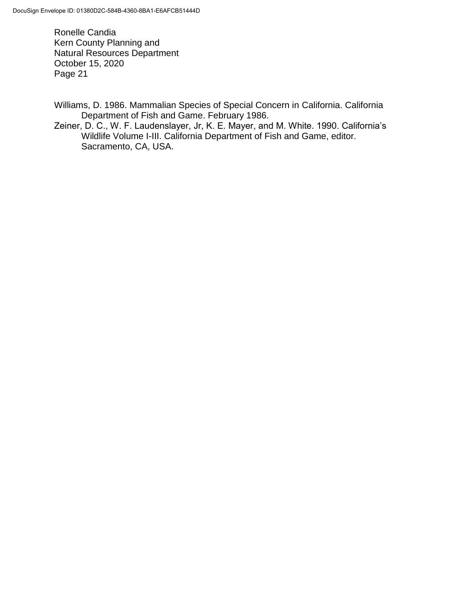Williams, D. 1986. Mammalian Species of Special Concern in California. California Department of Fish and Game. February 1986.

Zeiner, D. C., W. F. Laudenslayer, Jr, K. E. Mayer, and M. White. 1990. California's Wildlife Volume I-III. California Department of Fish and Game, editor. Sacramento, CA, USA.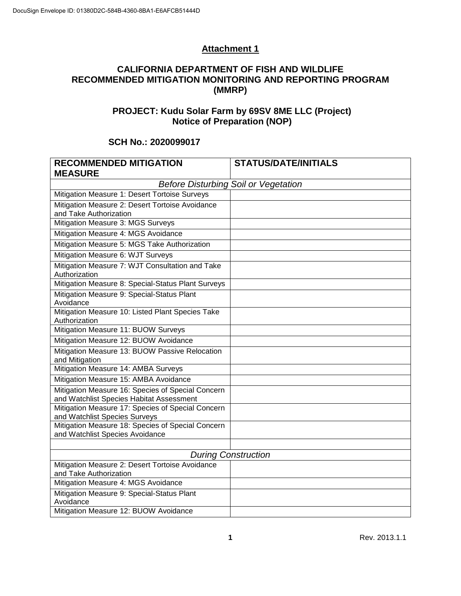# **Attachment 1**

#### **CALIFORNIA DEPARTMENT OF FISH AND WILDLIFE RECOMMENDED MITIGATION MONITORING AND REPORTING PROGRAM (MMRP)**

# **PROJECT: Kudu Solar Farm by 69SV 8ME LLC (Project) Notice of Preparation (NOP)**

### **SCH No.: 2020099017**

| <b>RECOMMENDED MITIGATION</b>                                                                 | <b>STATUS/DATE/INITIALS</b> |  |  |  |
|-----------------------------------------------------------------------------------------------|-----------------------------|--|--|--|
| <b>MEASURE</b>                                                                                |                             |  |  |  |
| <b>Before Disturbing Soil or Vegetation</b>                                                   |                             |  |  |  |
| Mitigation Measure 1: Desert Tortoise Surveys                                                 |                             |  |  |  |
| Mitigation Measure 2: Desert Tortoise Avoidance                                               |                             |  |  |  |
| and Take Authorization                                                                        |                             |  |  |  |
| Mitigation Measure 3: MGS Surveys                                                             |                             |  |  |  |
| Mitigation Measure 4: MGS Avoidance                                                           |                             |  |  |  |
| Mitigation Measure 5: MGS Take Authorization                                                  |                             |  |  |  |
| Mitigation Measure 6: WJT Surveys                                                             |                             |  |  |  |
| Mitigation Measure 7: WJT Consultation and Take<br>Authorization                              |                             |  |  |  |
| Mitigation Measure 8: Special-Status Plant Surveys                                            |                             |  |  |  |
| Mitigation Measure 9: Special-Status Plant<br>Avoidance                                       |                             |  |  |  |
| Mitigation Measure 10: Listed Plant Species Take<br>Authorization                             |                             |  |  |  |
| Mitigation Measure 11: BUOW Surveys                                                           |                             |  |  |  |
| Mitigation Measure 12: BUOW Avoidance                                                         |                             |  |  |  |
| Mitigation Measure 13: BUOW Passive Relocation<br>and Mitigation                              |                             |  |  |  |
| Mitigation Measure 14: AMBA Surveys                                                           |                             |  |  |  |
| Mitigation Measure 15: AMBA Avoidance                                                         |                             |  |  |  |
| Mitigation Measure 16: Species of Special Concern<br>and Watchlist Species Habitat Assessment |                             |  |  |  |
| Mitigation Measure 17: Species of Special Concern<br>and Watchlist Species Surveys            |                             |  |  |  |
| Mitigation Measure 18: Species of Special Concern<br>and Watchlist Species Avoidance          |                             |  |  |  |
|                                                                                               |                             |  |  |  |
| <b>During Construction</b>                                                                    |                             |  |  |  |
| Mitigation Measure 2: Desert Tortoise Avoidance<br>and Take Authorization                     |                             |  |  |  |
| Mitigation Measure 4: MGS Avoidance                                                           |                             |  |  |  |
| Mitigation Measure 9: Special-Status Plant                                                    |                             |  |  |  |
| Avoidance                                                                                     |                             |  |  |  |
| Mitigation Measure 12: BUOW Avoidance                                                         |                             |  |  |  |